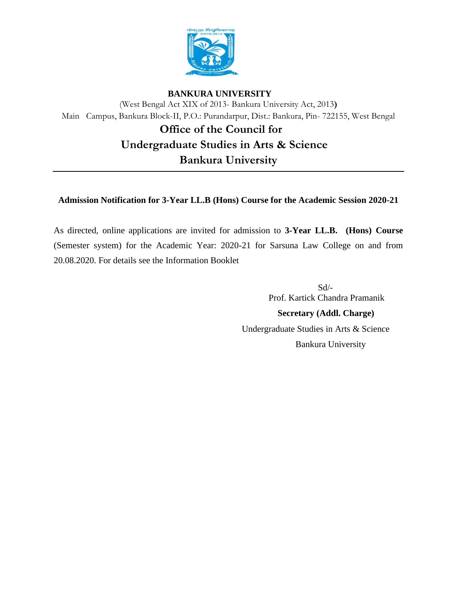

## **BANKURA UNIVERSITY**

(West Bengal Act XIX of 2013- Bankura University Act, 2013**)** Main Campus, Bankura Block-II, P.O.: Purandarpur, Dist.: Bankura, Pin- 722155, West Bengal  **Office of the Council for Undergraduate Studies in Arts & Science**

**Bankura University** 

# **Admission Notification for 3-Year LL.B (Hons) Course for the Academic Session 2020-21**

As directed, online applications are invited for admission to **3-Year LL.B. (Hons) Course**  (Semester system) for the Academic Year: 2020-21 for Sarsuna Law College on and from 20.08.2020. For details see the Information Booklet

 Sd/- Prof. Kartick Chandra Pramanik  **Secretary (Addl. Charge)**  Undergraduate Studies in Arts & Science Bankura University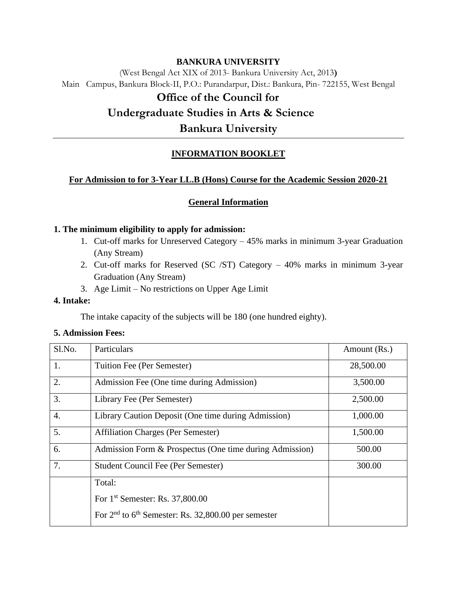## **BANKURA UNIVERSITY**

(West Bengal Act XIX of 2013- Bankura University Act, 2013**)** Main Campus, Bankura Block-II, P.O.: Purandarpur, Dist.: Bankura, Pin- 722155, West Bengal

# **Office of the Council for**

# **Undergraduate Studies in Arts & Science**

**Bankura University** 

# **INFORMATION BOOKLET**

## **For Admission to for 3-Year LL.B (Hons) Course for the Academic Session 2020-21**

## **General Information**

#### **1. The minimum eligibility to apply for admission:**

- 1. Cut-off marks for Unreserved Category 45% marks in minimum 3-year Graduation (Any Stream)
- 2. Cut-off marks for Reserved (SC /ST) Category 40% marks in minimum 3-year Graduation (Any Stream)
- 3. Age Limit No restrictions on Upper Age Limit

### **4. Intake:**

The intake capacity of the subjects will be 180 (one hundred eighty).

#### **5. Admission Fees:**

| Sl.No.           | Particulars                                             | Amount (Rs.) |
|------------------|---------------------------------------------------------|--------------|
| 1.               | Tuition Fee (Per Semester)                              | 28,500.00    |
| 2.               | Admission Fee (One time during Admission)               | 3,500.00     |
| 3.               | Library Fee (Per Semester)                              | 2,500.00     |
| $\overline{4}$ . | Library Caution Deposit (One time during Admission)     | 1,000.00     |
| 5.               | <b>Affiliation Charges (Per Semester)</b>               | 1,500.00     |
| 6.               | Admission Form & Prospectus (One time during Admission) | 500.00       |
| 7.               | Student Council Fee (Per Semester)                      | 300.00       |
|                  | Total:                                                  |              |
|                  | For 1 <sup>st</sup> Semester: Rs. 37,800.00             |              |
|                  | For $2nd$ to $6th$ Semester: Rs. 32,800.00 per semester |              |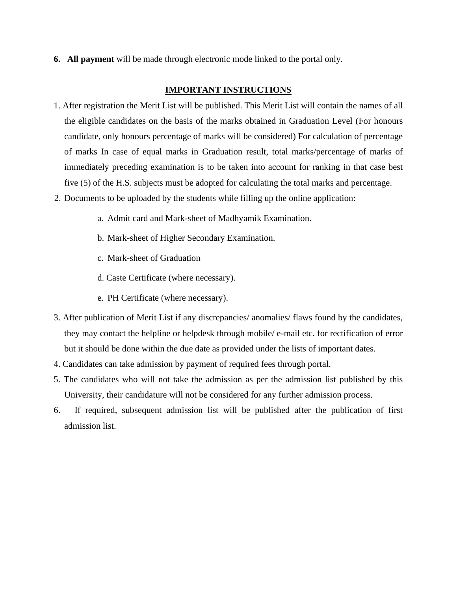**6. All payment** will be made through electronic mode linked to the portal only.

#### **IMPORTANT INSTRUCTIONS**

- 1. After registration the Merit List will be published. This Merit List will contain the names of all the eligible candidates on the basis of the marks obtained in Graduation Level (For honours candidate, only honours percentage of marks will be considered) For calculation of percentage of marks In case of equal marks in Graduation result, total marks/percentage of marks of immediately preceding examination is to be taken into account for ranking in that case best five (5) of the H.S. subjects must be adopted for calculating the total marks and percentage.
- 2. Documents to be uploaded by the students while filling up the online application:
	- a. Admit card and Mark-sheet of Madhyamik Examination.
	- b. Mark-sheet of Higher Secondary Examination.
	- c. Mark-sheet of Graduation
	- d. Caste Certificate (where necessary).
	- e. PH Certificate (where necessary).
- 3. After publication of Merit List if any discrepancies/ anomalies/ flaws found by the candidates, they may contact the helpline or helpdesk through mobile/ e-mail etc. for rectification of error but it should be done within the due date as provided under the lists of important dates.
- 4. Candidates can take admission by payment of required fees through portal.
- 5. The candidates who will not take the admission as per the admission list published by this University, their candidature will not be considered for any further admission process.
- 6. If required, subsequent admission list will be published after the publication of first admission list.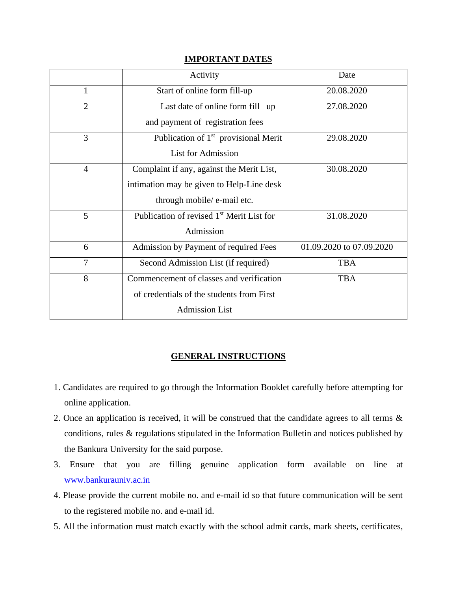|                | Activity                                              | Date                     |
|----------------|-------------------------------------------------------|--------------------------|
| 1              | Start of online form fill-up                          | 20.08.2020               |
| $\overline{2}$ | Last date of online form fill -up                     | 27.08.2020               |
|                | and payment of registration fees                      |                          |
| 3              | Publication of 1 <sup>st</sup> provisional Merit      | 29.08.2020               |
|                | <b>List for Admission</b>                             |                          |
| $\overline{4}$ | Complaint if any, against the Merit List,             | 30.08.2020               |
|                | intimation may be given to Help-Line desk             |                          |
|                | through mobile/ e-mail etc.                           |                          |
| 5              | Publication of revised 1 <sup>st</sup> Merit List for | 31.08.2020               |
|                | Admission                                             |                          |
| 6              | Admission by Payment of required Fees                 | 01.09.2020 to 07.09.2020 |
| $\overline{7}$ | Second Admission List (if required)                   | <b>TBA</b>               |
| 8              | Commencement of classes and verification              | <b>TBA</b>               |
|                | of credentials of the students from First             |                          |
|                | <b>Admission List</b>                                 |                          |

# **IMPORTANT DATES**

# **GENERAL INSTRUCTIONS**

- 1. Candidates are required to go through the Information Booklet carefully before attempting for online application.
- 2. Once an application is received, it will be construed that the candidate agrees to all terms & conditions, rules & regulations stipulated in the Information Bulletin and notices published by the Bankura University for the said purpose.
- 3. Ensure that you are filling genuine application form available on line at [www.bankurauniv.ac.in](http://www.bankurauniv.ac.in/)
- 4. Please provide the current mobile no. and e-mail id so that future communication will be sent to the registered mobile no. and e-mail id.
- 5. All the information must match exactly with the school admit cards, mark sheets, certificates,